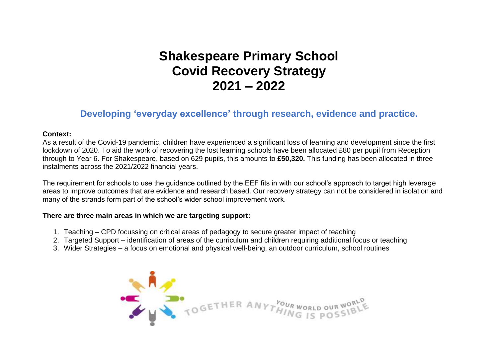## **Shakespeare Primary School Covid Recovery Strategy 2021 – 2022**

## **Developing 'everyday excellence' through research, evidence and practice.**

## **Context:**

As a result of the Covid-19 pandemic, children have experienced a significant loss of learning and development since the first lockdown of 2020. To aid the work of recovering the lost learning schools have been allocated £80 per pupil from Reception through to Year 6. For Shakespeare, based on 629 pupils, this amounts to **£50,320.** This funding has been allocated in three instalments across the 2021/2022 financial years.

The requirement for schools to use the guidance outlined by the EEF fits in with our school's approach to target high leverage areas to improve outcomes that are evidence and research based. Our recovery strategy can not be considered in isolation and many of the strands form part of the school's wider school improvement work.

## **There are three main areas in which we are targeting support:**

- 1. Teaching CPD focussing on critical areas of pedagogy to secure greater impact of teaching
- 2. Targeted Support identification of areas of the curriculum and children requiring additional focus or teaching
- 3. Wider Strategies a focus on emotional and physical well-being, an outdoor curriculum, school routines

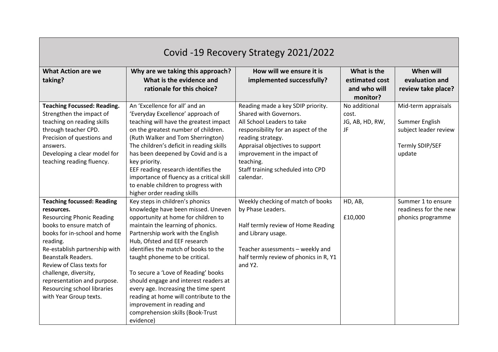| Covid -19 Recovery Strategy 2021/2022                                                                                                                                                                                                                                                                                                                                   |                                                                                                                                                                                                                                                                                                                                                                                                                                                                                                                                                   |                                                                                                                                                                                                                                                                                         |                                                           |                                                                                             |  |  |  |
|-------------------------------------------------------------------------------------------------------------------------------------------------------------------------------------------------------------------------------------------------------------------------------------------------------------------------------------------------------------------------|---------------------------------------------------------------------------------------------------------------------------------------------------------------------------------------------------------------------------------------------------------------------------------------------------------------------------------------------------------------------------------------------------------------------------------------------------------------------------------------------------------------------------------------------------|-----------------------------------------------------------------------------------------------------------------------------------------------------------------------------------------------------------------------------------------------------------------------------------------|-----------------------------------------------------------|---------------------------------------------------------------------------------------------|--|--|--|
| <b>What Action are we</b><br>taking?                                                                                                                                                                                                                                                                                                                                    | Why are we taking this approach?<br>What is the evidence and<br>rationale for this choice?                                                                                                                                                                                                                                                                                                                                                                                                                                                        | How will we ensure it is<br>implemented successfully?                                                                                                                                                                                                                                   | What is the<br>estimated cost<br>and who will<br>monitor? | When will<br>evaluation and<br>review take place?                                           |  |  |  |
| <b>Teaching Focussed: Reading.</b><br>Strengthen the impact of<br>teaching on reading skills<br>through teacher CPD.<br>Precision of questions and<br>answers.<br>Developing a clear model for<br>teaching reading fluency.                                                                                                                                             | An 'Excellence for all' and an<br>'Everyday Excellence' approach of<br>teaching will have the greatest impact<br>on the greatest number of children.<br>(Ruth Walker and Tom Sherrington)<br>The children's deficit in reading skills<br>has been deepened by Covid and is a<br>key priority.<br>EEF reading research identifies the<br>importance of fluency as a critical skill<br>to enable children to progress with<br>higher order reading skills                                                                                           | Reading made a key SDIP priority.<br>Shared with Governors.<br>All School Leaders to take<br>responsibility for an aspect of the<br>reading strategy.<br>Appraisal objectives to support<br>improvement in the impact of<br>teaching.<br>Staff training scheduled into CPD<br>calendar. | No additional<br>cost.<br>JG, AB, HD, RW,<br>JF           | Mid-term appraisals<br>Summer English<br>subject leader review<br>Termly SDIP/SEF<br>update |  |  |  |
| <b>Teaching focussed: Reading</b><br>resources.<br><b>Resourcing Phonic Reading</b><br>books to ensure match of<br>books for in-school and home<br>reading.<br>Re-establish partnership with<br><b>Beanstalk Readers.</b><br>Review of Class texts for<br>challenge, diversity,<br>representation and purpose.<br>Resourcing school libraries<br>with Year Group texts. | Key steps in children's phonics<br>knowledge have been missed. Uneven<br>opportunity at home for children to<br>maintain the learning of phonics.<br>Partnership work with the English<br>Hub, Ofsted and EEF research<br>identifies the match of books to the<br>taught phoneme to be critical.<br>To secure a 'Love of Reading' books<br>should engage and interest readers at<br>every age. Increasing the time spent<br>reading at home will contribute to the<br>improvement in reading and<br>comprehension skills (Book-Trust<br>evidence) | Weekly checking of match of books<br>by Phase Leaders.<br>Half termly review of Home Reading<br>and Library usage.<br>Teacher assessments - weekly and<br>half termly review of phonics in R, Y1<br>and Y2.                                                                             | HD, AB,<br>£10,000                                        | Summer 1 to ensure<br>readiness for the new<br>phonics programme                            |  |  |  |

,我们就会在这里,我们就会在这里,我们就会在这里,我们就会在这里,我们就会在这里,我们就会在这里,我们就会在这里,我们就会在这里,我们就会在这里,我们就会在这里<br>第一百一十一章 我们的人,我们就会在这里,我们的人,我们就会在这里,我们就会在这里,我们就会在这里,我们就会在这里,我们就会在这里,我们就会在这里,我们就会在这

┓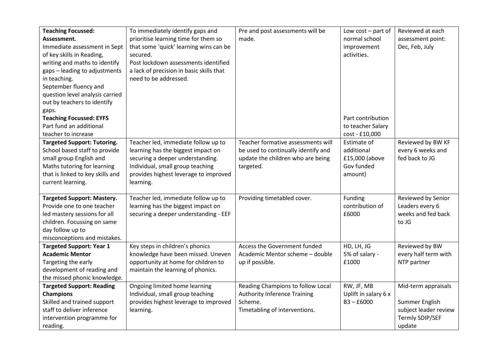| <b>Teaching Focussed:</b>          | To immediately identify gaps and         | Pre and post assessments will be    | Low $cost$ – part of | Reviewed at each      |
|------------------------------------|------------------------------------------|-------------------------------------|----------------------|-----------------------|
| Assessment.                        | prioritise learning time for them so     | made.                               | normal school        | assessment point:     |
| Immediate assessment in Sept       | that some 'quick' learning wins can be   |                                     | improvement          | Dec, Feb, July        |
| of key skills in Reading,          | secured.                                 |                                     | activities.          |                       |
| writing and maths to identify      | Post lockdown assessments identified     |                                     |                      |                       |
| gaps - leading to adjustments      | a lack of precision in basic skills that |                                     |                      |                       |
| in teaching.                       | need to be addressed.                    |                                     |                      |                       |
| September fluency and              |                                          |                                     |                      |                       |
| question level analysis carried    |                                          |                                     |                      |                       |
| out by teachers to identify        |                                          |                                     |                      |                       |
| gaps.                              |                                          |                                     |                      |                       |
| <b>Teaching Focussed: EYFS</b>     |                                          |                                     | Part contribution    |                       |
| Part fund an additional            |                                          |                                     | to teacher Salary    |                       |
| teacher to increase                |                                          |                                     | cost - £10,000       |                       |
| <b>Targeted Support: Tutoring.</b> | Teacher led, immediate follow up to      | Teacher formative assessments will  | Estimate of          | Reviewed by BW KF     |
| School based staff to provide      | learning has the biggest impact on       | be used to continually identify and | additional           | every 6 weeks and     |
| small group English and            | securing a deeper understanding.         | update the children who are being   | £15,000 (above       | fed back to JG        |
| Maths tutoring for learning        | Individual, small group teaching         | targeted.                           | Gov funded           |                       |
| that is linked to key skills and   | provides highest leverage to improved    |                                     | amount)              |                       |
| current learning.                  | learning.                                |                                     |                      |                       |
|                                    |                                          |                                     |                      |                       |
| <b>Targeted Support: Mastery.</b>  | Teacher led, immediate follow up to      | Providing timetabled cover.         | Funding              | Reviewed by Senior    |
| Provide one to one teacher         | learning has the biggest impact on       |                                     | contribution of      | Leaders every 6       |
| led mastery sessions for all       | securing a deeper understanding - EEF    |                                     | £6000                | weeks and fed back    |
| children. Focussing on same        |                                          |                                     |                      | to JG                 |
| day follow up to                   |                                          |                                     |                      |                       |
| misconceptions and mistakes.       |                                          |                                     |                      |                       |
| <b>Targeted Support: Year 1</b>    | Key steps in children's phonics          | Access the Government funded        | HD, LH, JG           | Reviewed by BW        |
| <b>Academic Mentor</b>             | knowledge have been missed. Uneven       | Academic Mentor scheme - double     | 5% of salary -       | every half term with  |
| Targeting the early                | opportunity at home for children to      | up if possible.                     | £1000                | NTP partner           |
| development of reading and         | maintain the learning of phonics.        |                                     |                      |                       |
| the missed phonic knowledge.       |                                          |                                     |                      |                       |
| <b>Targeted Support: Reading</b>   | Ongoing limited home learning            | Reading Champions to follow Local   | RW, JF, MB           | Mid-term appraisals   |
| <b>Champions</b>                   | Individual, small group teaching         | <b>Authority Inference Training</b> | Uplift in salary 6 x |                       |
| Skilled and trained support        | provides highest leverage to improved    | Scheme.                             | $B3 - E6000$         | Summer English        |
| staff to deliver inference         | learning.                                | Timetabling of interventions.       |                      | subject leader review |
| intervention programme for         |                                          |                                     |                      | Termly SDIP/SEF       |
| reading.                           |                                          |                                     |                      | update                |